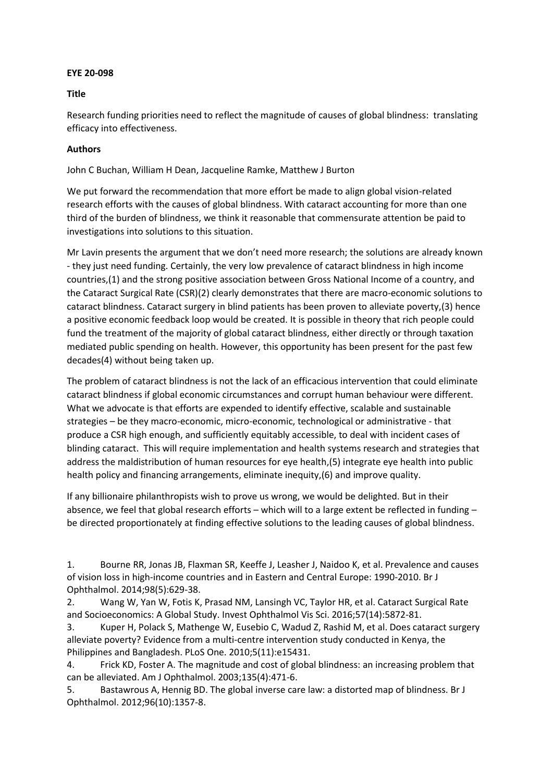## **EYE 20-098**

## **Title**

Research funding priorities need to reflect the magnitude of causes of global blindness: translating efficacy into effectiveness.

## **Authors**

John C Buchan, William H Dean, Jacqueline Ramke, Matthew J Burton

We put forward the recommendation that more effort be made to align global vision-related research efforts with the causes of global blindness. With cataract accounting for more than one third of the burden of blindness, we think it reasonable that commensurate attention be paid to investigations into solutions to this situation.

Mr Lavin presents the argument that we don't need more research; the solutions are already known - they just need funding. Certainly, the very low prevalence of cataract blindness in high income countries,(1) and the strong positive association between Gross National Income of a country, and the Cataract Surgical Rate (CSR)(2) clearly demonstrates that there are macro-economic solutions to cataract blindness. Cataract surgery in blind patients has been proven to alleviate poverty,(3) hence a positive economic feedback loop would be created. It is possible in theory that rich people could fund the treatment of the majority of global cataract blindness, either directly or through taxation mediated public spending on health. However, this opportunity has been present for the past few decades(4) without being taken up.

The problem of cataract blindness is not the lack of an efficacious intervention that could eliminate cataract blindness if global economic circumstances and corrupt human behaviour were different. What we advocate is that efforts are expended to identify effective, scalable and sustainable strategies – be they macro-economic, micro-economic, technological or administrative - that produce a CSR high enough, and sufficiently equitably accessible, to deal with incident cases of blinding cataract. This will require implementation and health systems research and strategies that address the maldistribution of human resources for eye health,(5) integrate eye health into public health policy and financing arrangements, eliminate inequity,(6) and improve quality.

If any billionaire philanthropists wish to prove us wrong, we would be delighted. But in their absence, we feel that global research efforts – which will to a large extent be reflected in funding – be directed proportionately at finding effective solutions to the leading causes of global blindness.

1. Bourne RR, Jonas JB, Flaxman SR, Keeffe J, Leasher J, Naidoo K, et al. Prevalence and causes of vision loss in high-income countries and in Eastern and Central Europe: 1990-2010. Br J Ophthalmol. 2014;98(5):629-38.

2. Wang W, Yan W, Fotis K, Prasad NM, Lansingh VC, Taylor HR, et al. Cataract Surgical Rate and Socioeconomics: A Global Study. Invest Ophthalmol Vis Sci. 2016;57(14):5872-81.

3. Kuper H, Polack S, Mathenge W, Eusebio C, Wadud Z, Rashid M, et al. Does cataract surgery alleviate poverty? Evidence from a multi-centre intervention study conducted in Kenya, the Philippines and Bangladesh. PLoS One. 2010;5(11):e15431.

4. Frick KD, Foster A. The magnitude and cost of global blindness: an increasing problem that can be alleviated. Am J Ophthalmol. 2003;135(4):471-6.

5. Bastawrous A, Hennig BD. The global inverse care law: a distorted map of blindness. Br J Ophthalmol. 2012;96(10):1357-8.